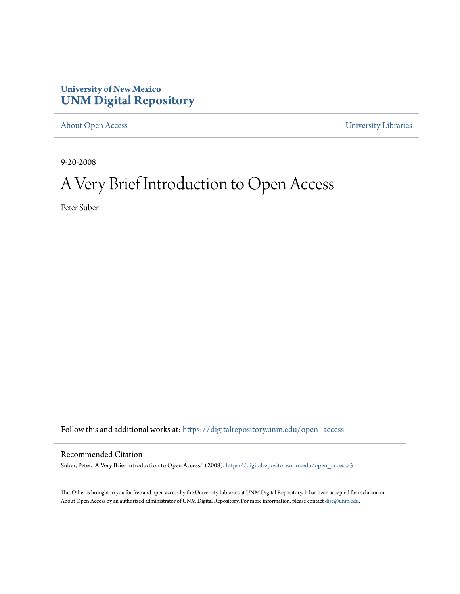### **University of New Mexico [UNM Digital Repository](https://digitalrepository.unm.edu?utm_source=digitalrepository.unm.edu%2Fopen_access%2F3&utm_medium=PDF&utm_campaign=PDFCoverPages)**

[About Open Access](https://digitalrepository.unm.edu/open_access?utm_source=digitalrepository.unm.edu%2Fopen_access%2F3&utm_medium=PDF&utm_campaign=PDFCoverPages) [University Libraries](https://digitalrepository.unm.edu/libraries?utm_source=digitalrepository.unm.edu%2Fopen_access%2F3&utm_medium=PDF&utm_campaign=PDFCoverPages)

9-20-2008

# A Very Brief Introduction to Open Access

Peter Suber

Follow this and additional works at: [https://digitalrepository.unm.edu/open\\_access](https://digitalrepository.unm.edu/open_access?utm_source=digitalrepository.unm.edu%2Fopen_access%2F3&utm_medium=PDF&utm_campaign=PDFCoverPages)

#### Recommended Citation

Suber, Peter. "A Very Brief Introduction to Open Access." (2008). [https://digitalrepository.unm.edu/open\\_access/3](https://digitalrepository.unm.edu/open_access/3?utm_source=digitalrepository.unm.edu%2Fopen_access%2F3&utm_medium=PDF&utm_campaign=PDFCoverPages)

This Other is brought to you for free and open access by the University Libraries at UNM Digital Repository. It has been accepted for inclusion in About Open Access by an authorized administrator of UNM Digital Repository. For more information, please contact [disc@unm.edu.](mailto:disc@unm.edu)